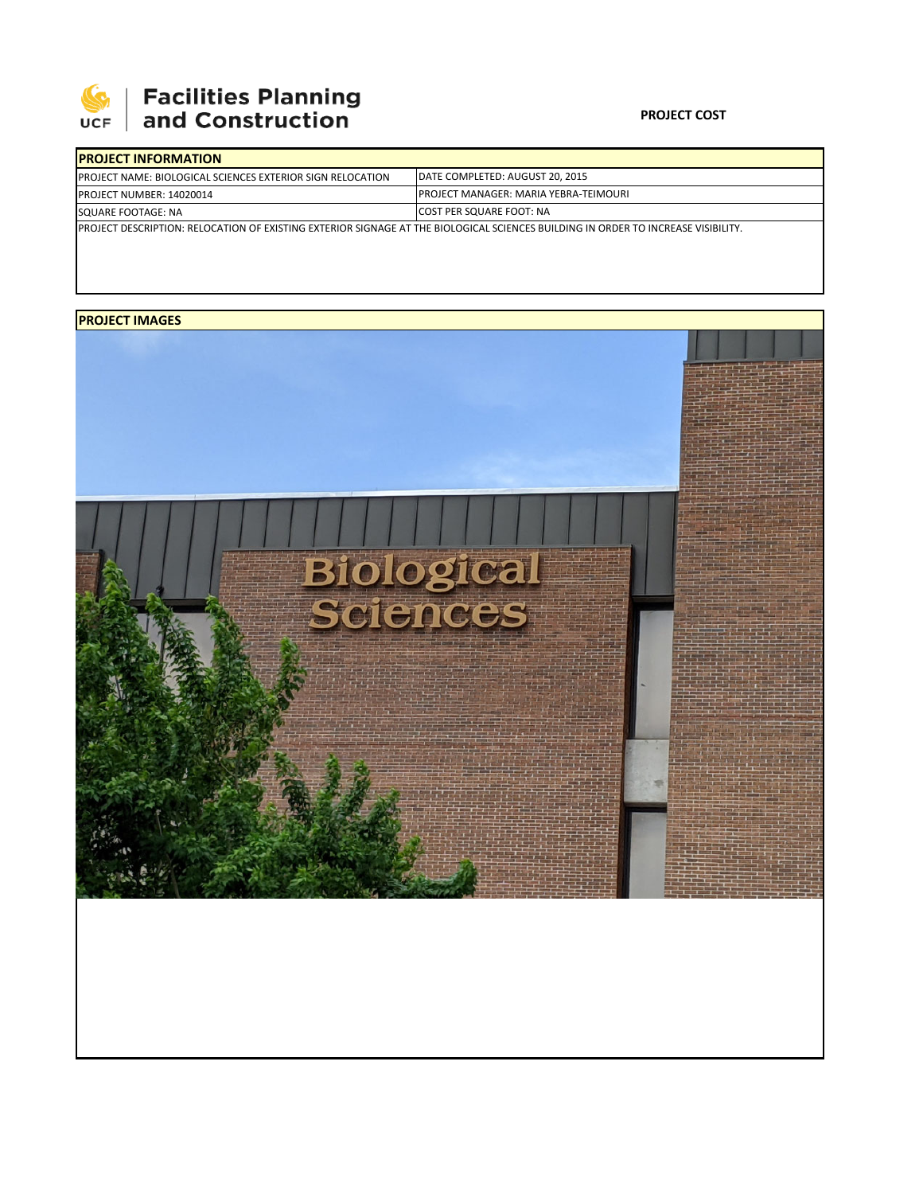

## **Facilities Planning<br>and Construction**

## **PROJECT COST**

| <b>IPROJECT INFORMATION</b>                                                                                                        |                                              |  |  |  |
|------------------------------------------------------------------------------------------------------------------------------------|----------------------------------------------|--|--|--|
| <b>IPROJECT NAME: BIOLOGICAL SCIENCES EXTERIOR SIGN RELOCATION</b>                                                                 | DATE COMPLETED: AUGUST 20, 2015              |  |  |  |
| PROJECT NUMBER: 14020014                                                                                                           | <b>PROJECT MANAGER: MARIA YEBRA-TEIMOURI</b> |  |  |  |
| SQUARE FOOTAGE: NA                                                                                                                 | <b>ICOST PER SQUARE FOOT: NA</b>             |  |  |  |
| IPROJECT DESCRIPTION: RELOCATION OF EXISTING EXTERIOR SIGNAGE AT THE BIOLOGICAL SCIENCES BUILDING IN ORDER TO INCREASE VISIBILITY. |                                              |  |  |  |